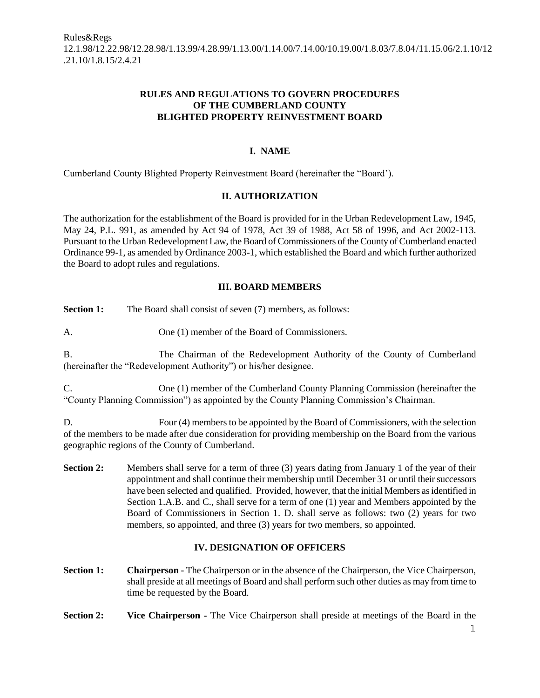## **RULES AND REGULATIONS TO GOVERN PROCEDURES OF THE CUMBERLAND COUNTY BLIGHTED PROPERTY REINVESTMENT BOARD**

# **I. NAME**

Cumberland County Blighted Property Reinvestment Board (hereinafter the "Board').

# **II. AUTHORIZATION**

The authorization for the establishment of the Board is provided for in the Urban Redevelopment Law, 1945, May 24, P.L. 991, as amended by Act 94 of 1978, Act 39 of 1988, Act 58 of 1996, and Act 2002-113. Pursuant to the Urban Redevelopment Law, the Board of Commissioners of the County of Cumberland enacted Ordinance 99-1, as amended by Ordinance 2003-1, which established the Board and which further authorized the Board to adopt rules and regulations.

#### **III. BOARD MEMBERS**

**Section 1:** The Board shall consist of seven (7) members, as follows:

A. One (1) member of the Board of Commissioners.

B. The Chairman of the Redevelopment Authority of the County of Cumberland (hereinafter the "Redevelopment Authority") or his/her designee.

C. One (1) member of the Cumberland County Planning Commission (hereinafter the "County Planning Commission") as appointed by the County Planning Commission's Chairman.

D. Four (4) members to be appointed by the Board of Commissioners, with the selection of the members to be made after due consideration for providing membership on the Board from the various geographic regions of the County of Cumberland.

**Section 2:** Members shall serve for a term of three (3) years dating from January 1 of the year of their appointment and shall continue their membership until December 31 or until their successors have been selected and qualified. Provided, however, that the initial Members as identified in Section 1.A.B. and C., shall serve for a term of one (1) year and Members appointed by the Board of Commissioners in Section 1. D. shall serve as follows: two (2) years for two members, so appointed, and three (3) years for two members, so appointed.

# **IV. DESIGNATION OF OFFICERS**

- **Section 1:** Chairperson The Chairperson or in the absence of the Chairperson, the Vice Chairperson, shall preside at all meetings of Board and shall perform such other duties as may from time to time be requested by the Board.
- **Section 2:** Vice Chairperson The Vice Chairperson shall preside at meetings of the Board in the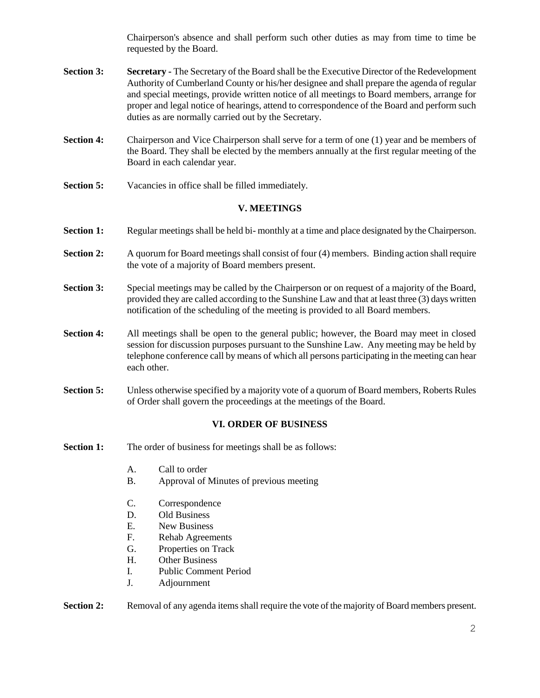Chairperson's absence and shall perform such other duties as may from time to time be requested by the Board.

- **Section 3:** Secretary The Secretary of the Board shall be the Executive Director of the Redevelopment Authority of Cumberland County or his/her designee and shall prepare the agenda of regular and special meetings, provide written notice of all meetings to Board members, arrange for proper and legal notice of hearings, attend to correspondence of the Board and perform such duties as are normally carried out by the Secretary.
- **Section 4:** Chairperson and Vice Chairperson shall serve for a term of one (1) year and be members of the Board. They shall be elected by the members annually at the first regular meeting of the Board in each calendar year.
- **Section 5:** Vacancies in office shall be filled immediately.

### **V. MEETINGS**

- **Section 1:** Regular meetings shall be held bi- monthly at a time and place designated by the Chairperson.
- **Section 2:** A quorum for Board meetings shall consist of four (4) members. Binding action shall require the vote of a majority of Board members present.
- **Section 3:** Special meetings may be called by the Chairperson or on request of a majority of the Board, provided they are called according to the Sunshine Law and that at least three (3) days written notification of the scheduling of the meeting is provided to all Board members.
- **Section 4:** All meetings shall be open to the general public; however, the Board may meet in closed session for discussion purposes pursuant to the Sunshine Law. Any meeting may be held by telephone conference call by means of which all persons participating in the meeting can hear each other.
- **Section 5:** Unless otherwise specified by a majority vote of a quorum of Board members, Roberts Rules of Order shall govern the proceedings at the meetings of the Board.

### **VI. ORDER OF BUSINESS**

- **Section 1:** The order of business for meetings shall be as follows:
	- A. Call to order
	- B. Approval of Minutes of previous meeting
	- C. Correspondence
	- D. Old Business
	- E. New Business
	- F. Rehab Agreements
	- G. Properties on Track
	- H. Other Business
	- I. Public Comment Period
	- J. Adjournment

**Section 2:** Removal of any agenda items shall require the vote of the majority of Board members present.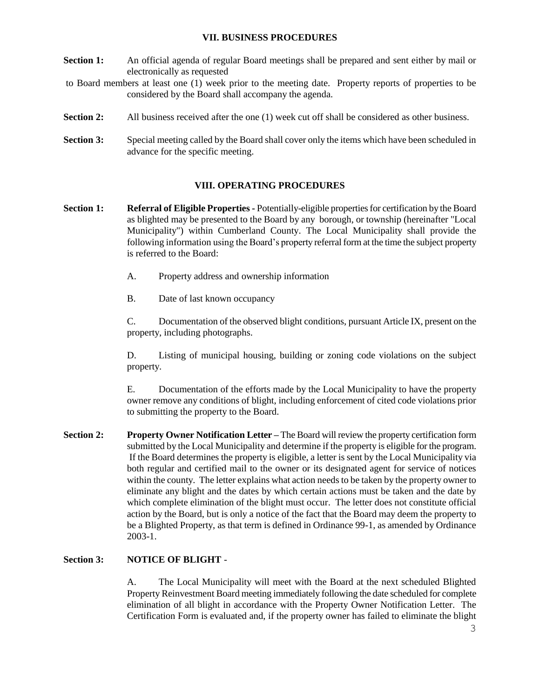#### **VII. BUSINESS PROCEDURES**

- **Section 1:** An official agenda of regular Board meetings shall be prepared and sent either by mail or electronically as requested
- to Board members at least one (1) week prior to the meeting date. Property reports of properties to be considered by the Board shall accompany the agenda.
- **Section 2:** All business received after the one (1) week cut off shall be considered as other business.
- **Section 3:** Special meeting called by the Board shall cover only the items which have been scheduled in advance for the specific meeting.

#### **VIII. OPERATING PROCEDURES**

- **Section 1: Referral of Eligible Properties -** Potentially-eligible properties for certification by the Board as blighted may be presented to the Board by any borough, or township (hereinafter "Local Municipality") within Cumberland County. The Local Municipality shall provide the following information using the Board's property referral form at the time the subject property is referred to the Board:
	- A. Property address and ownership information
	- B. Date of last known occupancy

C. Documentation of the observed blight conditions, pursuant Article IX, present on the property, including photographs.

D. Listing of municipal housing, building or zoning code violations on the subject property.

E. Documentation of the efforts made by the Local Municipality to have the property owner remove any conditions of blight, including enforcement of cited code violations prior to submitting the property to the Board.

**Section 2: Property Owner Notification Letter –** The Board will review the property certification form submitted by the Local Municipality and determine if the property is eligible for the program. If the Board determines the property is eligible, a letter is sent by the Local Municipality via both regular and certified mail to the owner or its designated agent for service of notices within the county. The letter explains what action needs to be taken by the property owner to eliminate any blight and the dates by which certain actions must be taken and the date by which complete elimination of the blight must occur. The letter does not constitute official action by the Board, but is only a notice of the fact that the Board may deem the property to be a Blighted Property, as that term is defined in Ordinance 99-1, as amended by Ordinance 2003-1.

#### **Section 3: NOTICE OF BLIGHT** -

A. The Local Municipality will meet with the Board at the next scheduled Blighted Property Reinvestment Board meeting immediately following the date scheduled for complete elimination of all blight in accordance with the Property Owner Notification Letter. The Certification Form is evaluated and, if the property owner has failed to eliminate the blight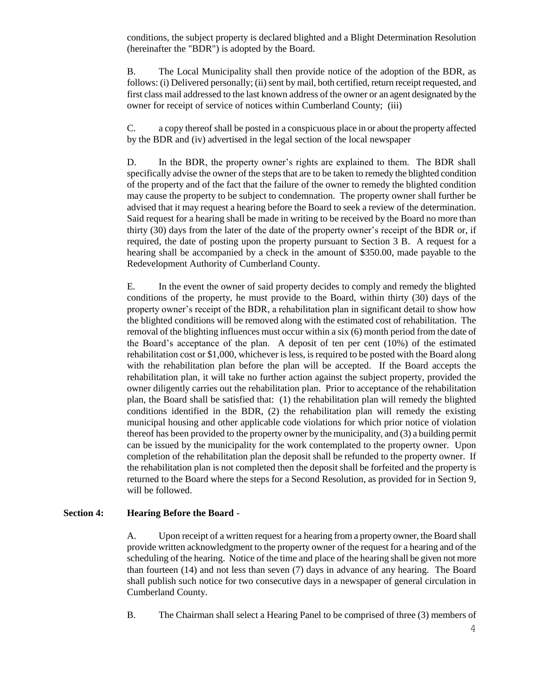conditions, the subject property is declared blighted and a Blight Determination Resolution (hereinafter the "BDR") is adopted by the Board.

B. The Local Municipality shall then provide notice of the adoption of the BDR, as follows: (i) Delivered personally; (ii) sent by mail, both certified, return receipt requested, and first class mail addressed to the last known address of the owner or an agent designated by the owner for receipt of service of notices within Cumberland County; (iii)

C. a copy thereof shall be posted in a conspicuous place in or about the property affected by the BDR and (iv) advertised in the legal section of the local newspaper

D. In the BDR, the property owner's rights are explained to them. The BDR shall specifically advise the owner of the steps that are to be taken to remedy the blighted condition of the property and of the fact that the failure of the owner to remedy the blighted condition may cause the property to be subject to condemnation. The property owner shall further be advised that it may request a hearing before the Board to seek a review of the determination. Said request for a hearing shall be made in writing to be received by the Board no more than thirty (30) days from the later of the date of the property owner's receipt of the BDR or, if required, the date of posting upon the property pursuant to Section 3 B. A request for a hearing shall be accompanied by a check in the amount of \$350.00, made payable to the Redevelopment Authority of Cumberland County.

E. In the event the owner of said property decides to comply and remedy the blighted conditions of the property, he must provide to the Board, within thirty (30) days of the property owner's receipt of the BDR, a rehabilitation plan in significant detail to show how the blighted conditions will be removed along with the estimated cost of rehabilitation. The removal of the blighting influences must occur within a six (6) month period from the date of the Board's acceptance of the plan. A deposit of ten per cent  $(10\%)$  of the estimated rehabilitation cost or \$1,000, whichever is less, is required to be posted with the Board along with the rehabilitation plan before the plan will be accepted. If the Board accepts the rehabilitation plan, it will take no further action against the subject property, provided the owner diligently carries out the rehabilitation plan. Prior to acceptance of the rehabilitation plan, the Board shall be satisfied that: (1) the rehabilitation plan will remedy the blighted conditions identified in the BDR, (2) the rehabilitation plan will remedy the existing municipal housing and other applicable code violations for which prior notice of violation thereof has been provided to the property owner by the municipality, and (3) a building permit can be issued by the municipality for the work contemplated to the property owner. Upon completion of the rehabilitation plan the deposit shall be refunded to the property owner. If the rehabilitation plan is not completed then the deposit shall be forfeited and the property is returned to the Board where the steps for a Second Resolution, as provided for in Section 9, will be followed.

#### **Section 4: Hearing Before the Board** -

A. Upon receipt of a written request for a hearing from a property owner, the Board shall provide written acknowledgment to the property owner of the request for a hearing and of the scheduling of the hearing. Notice of the time and place of the hearing shall be given not more than fourteen (14) and not less than seven (7) days in advance of any hearing. The Board shall publish such notice for two consecutive days in a newspaper of general circulation in Cumberland County.

B. The Chairman shall select a Hearing Panel to be comprised of three (3) members of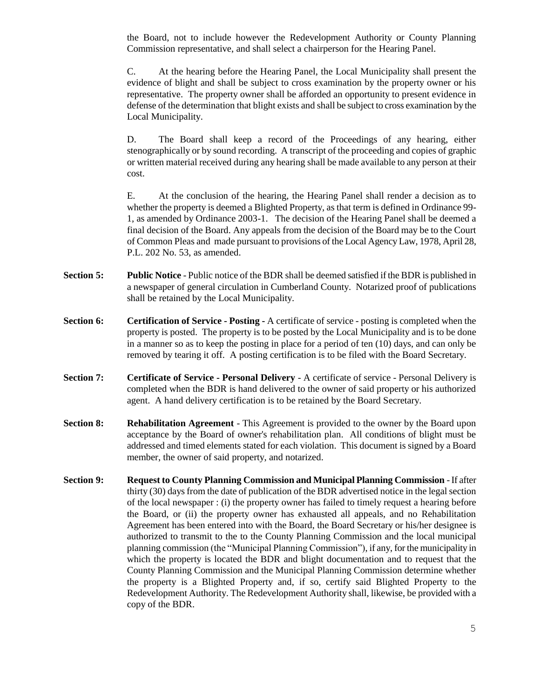the Board, not to include however the Redevelopment Authority or County Planning Commission representative, and shall select a chairperson for the Hearing Panel.

C. At the hearing before the Hearing Panel, the Local Municipality shall present the evidence of blight and shall be subject to cross examination by the property owner or his representative. The property owner shall be afforded an opportunity to present evidence in defense of the determination that blight exists and shall be subject to cross examination by the Local Municipality.

D. The Board shall keep a record of the Proceedings of any hearing, either stenographically or by sound recording. A transcript of the proceeding and copies of graphic or written material received during any hearing shall be made available to any person at their cost.

E. At the conclusion of the hearing, the Hearing Panel shall render a decision as to whether the property is deemed a Blighted Property, as that term is defined in Ordinance 99- 1, as amended by Ordinance 2003-1. The decision of the Hearing Panel shall be deemed a final decision of the Board. Any appeals from the decision of the Board may be to the Court of Common Pleas and made pursuant to provisions of the Local Agency Law, 1978, April 28, P.L. 202 No. 53, as amended.

- **Section 5: Public Notice** Public notice of the BDR shall be deemed satisfied if the BDR is published in a newspaper of general circulation in Cumberland County. Notarized proof of publications shall be retained by the Local Municipality.
- **Section 6: Certification of Service - Posting -** A certificate of service posting is completed when the property is posted. The property is to be posted by the Local Municipality and is to be done in a manner so as to keep the posting in place for a period of ten (10) days, and can only be removed by tearing it off. A posting certification is to be filed with the Board Secretary.
- **Section 7: Certificate of Service - Personal Delivery** A certificate of service Personal Delivery is completed when the BDR is hand delivered to the owner of said property or his authorized agent. A hand delivery certification is to be retained by the Board Secretary.
- **Section 8: Rehabilitation Agreement** This Agreement is provided to the owner by the Board upon acceptance by the Board of owner's rehabilitation plan. All conditions of blight must be addressed and timed elements stated for each violation. This document is signed by a Board member, the owner of said property, and notarized.
- **Section 9:** Request to County Planning Commission and Municipal Planning Commission If after thirty (30) days from the date of publication of the BDR advertised notice in the legal section of the local newspaper : (i) the property owner has failed to timely request a hearing before the Board, or (ii) the property owner has exhausted all appeals, and no Rehabilitation Agreement has been entered into with the Board, the Board Secretary or his/her designee is authorized to transmit to the to the County Planning Commission and the local municipal planning commission (the "Municipal Planning Commission"), if any, for the municipality in which the property is located the BDR and blight documentation and to request that the County Planning Commission and the Municipal Planning Commission determine whether the property is a Blighted Property and, if so, certify said Blighted Property to the Redevelopment Authority. The Redevelopment Authority shall, likewise, be provided with a copy of the BDR.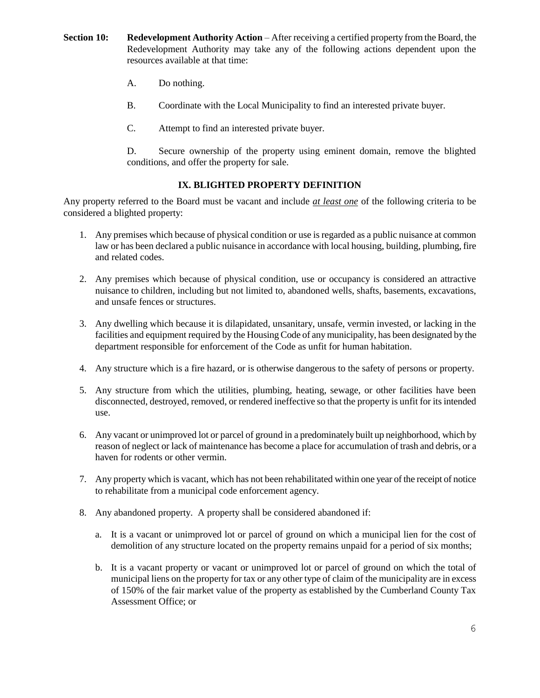- **Section 10:** Redevelopment Authority Action After receiving a certified property from the Board, the Redevelopment Authority may take any of the following actions dependent upon the resources available at that time:
	- A. Do nothing.
	- B. Coordinate with the Local Municipality to find an interested private buyer.
	- C. Attempt to find an interested private buyer.

D. Secure ownership of the property using eminent domain, remove the blighted conditions, and offer the property for sale.

# **IX. BLIGHTED PROPERTY DEFINITION**

Any property referred to the Board must be vacant and include *at least one* of the following criteria to be considered a blighted property:

- 1. Any premises which because of physical condition or use is regarded as a public nuisance at common law or has been declared a public nuisance in accordance with local housing, building, plumbing, fire and related codes.
- 2. Any premises which because of physical condition, use or occupancy is considered an attractive nuisance to children, including but not limited to, abandoned wells, shafts, basements, excavations, and unsafe fences or structures.
- 3. Any dwelling which because it is dilapidated, unsanitary, unsafe, vermin invested, or lacking in the facilities and equipment required by the Housing Code of any municipality, has been designated by the department responsible for enforcement of the Code as unfit for human habitation.
- 4. Any structure which is a fire hazard, or is otherwise dangerous to the safety of persons or property.
- 5. Any structure from which the utilities, plumbing, heating, sewage, or other facilities have been disconnected, destroyed, removed, or rendered ineffective so that the property is unfit for its intended use.
- 6. Any vacant or unimproved lot or parcel of ground in a predominately built up neighborhood, which by reason of neglect or lack of maintenance has become a place for accumulation of trash and debris, or a haven for rodents or other vermin.
- 7. Any property which is vacant, which has not been rehabilitated within one year of the receipt of notice to rehabilitate from a municipal code enforcement agency.
- 8. Any abandoned property. A property shall be considered abandoned if:
	- a. It is a vacant or unimproved lot or parcel of ground on which a municipal lien for the cost of demolition of any structure located on the property remains unpaid for a period of six months;
	- b. It is a vacant property or vacant or unimproved lot or parcel of ground on which the total of municipal liens on the property for tax or any other type of claim of the municipality are in excess of 150% of the fair market value of the property as established by the Cumberland County Tax Assessment Office; or